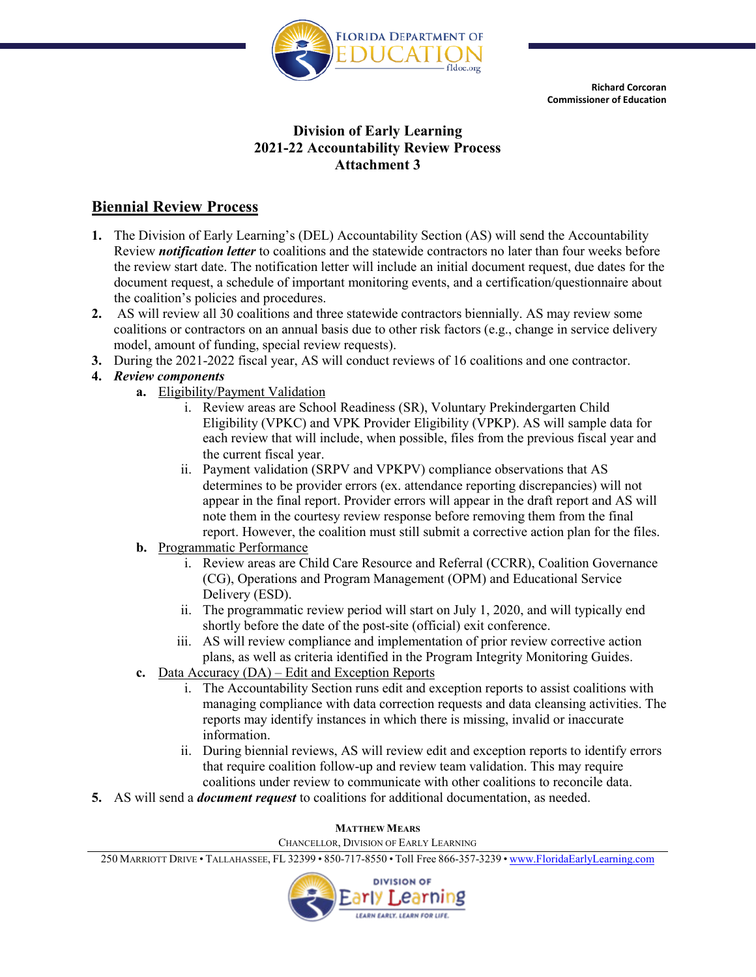

**Richard Corcoran Commissioner of Education**

# **Division of Early Learning 2021-22 Accountability Review Process Attachment 3**

# **Biennial Review Process**

- **1.** The Division of Early Learning's (DEL) Accountability Section (AS) will send the Accountability Review *notification letter* to coalitions and the statewide contractors no later than four weeks before the review start date. The notification letter will include an initial document request, due dates for the document request, a schedule of important monitoring events, and a certification/questionnaire about the coalition's policies and procedures.
- **2.** AS will review all 30 coalitions and three statewide contractors biennially. AS may review some coalitions or contractors on an annual basis due to other risk factors (e.g., change in service delivery model, amount of funding, special review requests).
- **3.** During the 2021-2022 fiscal year, AS will conduct reviews of 16 coalitions and one contractor.

# **4.** *Review components*

- **a.** Eligibility/Payment Validation
	- i. Review areas are School Readiness (SR), Voluntary Prekindergarten Child Eligibility (VPKC) and VPK Provider Eligibility (VPKP). AS will sample data for each review that will include, when possible, files from the previous fiscal year and the current fiscal year.
	- ii. Payment validation (SRPV and VPKPV) compliance observations that AS determines to be provider errors (ex. attendance reporting discrepancies) will not appear in the final report. Provider errors will appear in the draft report and AS will note them in the courtesy review response before removing them from the final report. However, the coalition must still submit a corrective action plan for the files.
- **b.** Programmatic Performance
	- i. Review areas are Child Care Resource and Referral (CCRR), Coalition Governance (CG), Operations and Program Management (OPM) and Educational Service Delivery (ESD).
	- ii. The programmatic review period will start on July 1, 2020, and will typically end shortly before the date of the post-site (official) exit conference.
	- iii. AS will review compliance and implementation of prior review corrective action plans, as well as criteria identified in the Program Integrity Monitoring Guides.
- **c.** Data Accuracy (DA) Edit and Exception Reports
	- i. The Accountability Section runs edit and exception reports to assist coalitions with managing compliance with data correction requests and data cleansing activities. The reports may identify instances in which there is missing, invalid or inaccurate information.
	- ii. During biennial reviews, AS will review edit and exception reports to identify errors that require coalition follow-up and review team validation. This may require coalitions under review to communicate with other coalitions to reconcile data.
- **5.** AS will send a *document request* to coalitions for additional documentation, as needed.

#### **MATTHEW MEARS**

CHANCELLOR, DIVISION OF EARLY LEARNING

250 MARRIOTT DRIVE • TALLAHASSEE, FL 32399 • 850-717-8550 • Toll Free 866-357-3239 • [www.FloridaEarlyLearning.com](http://www.floridaearlylearning.com/)